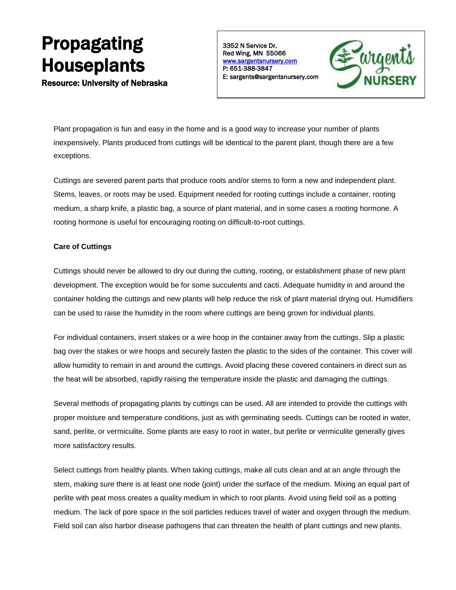# Propagating Houseplants

Resource: University of Nebraska

3352 N Service Dr. Red Wing, MN 55066 [www.sargentsnursery.com](http://www.sargentsnursery.com/)  P: 651-388-3847 E: sargents@sargentsnursery.com



Plant propagation is fun and easy in the home and is a good way to increase your number of plants inexpensively. Plants produced from cuttings will be identical to the parent plant, though there are a few exceptions.

Cuttings are severed parent parts that produce roots and/or stems to form a new and independent plant. Stems, leaves, or roots may be used. Equipment needed for rooting cuttings include a container, rooting medium, a sharp knife, a plastic bag, a source of plant material, and in some cases a rooting hormone. A rooting hormone is useful for encouraging rooting on difficult-to-root cuttings.

# **Care of Cuttings**

Cuttings should never be allowed to dry out during the cutting, rooting, or establishment phase of new plant development. The exception would be for some succulents and cacti. Adequate humidity in and around the container holding the cuttings and new plants will help reduce the risk of plant material drying out. Humidifiers can be used to raise the humidity in the room where cuttings are being grown for individual plants.

For individual containers, insert stakes or a wire hoop in the container away from the cuttings. Slip a plastic bag over the stakes or wire hoops and securely fasten the plastic to the sides of the container. This cover will allow humidity to remain in and around the cuttings. Avoid placing these covered containers in direct sun as the heat will be absorbed, rapidly raising the temperature inside the plastic and damaging the cuttings.

Several methods of propagating plants by cuttings can be used. All are intended to provide the cuttings with proper moisture and temperature conditions, just as with germinating seeds. Cuttings can be rooted in water, sand, perlite, or vermiculite. Some plants are easy to root in water, but perlite or vermiculite generally gives more satisfactory results.

Select cuttings from healthy plants. When taking cuttings, make all cuts clean and at an angle through the stem, making sure there is at least one node (joint) under the surface of the medium. Mixing an equal part of perlite with peat moss creates a quality medium in which to root plants. Avoid using field soil as a potting medium. The lack of pore space in the soil particles reduces travel of water and oxygen through the medium. Field soil can also harbor disease pathogens that can threaten the health of plant cuttings and new plants.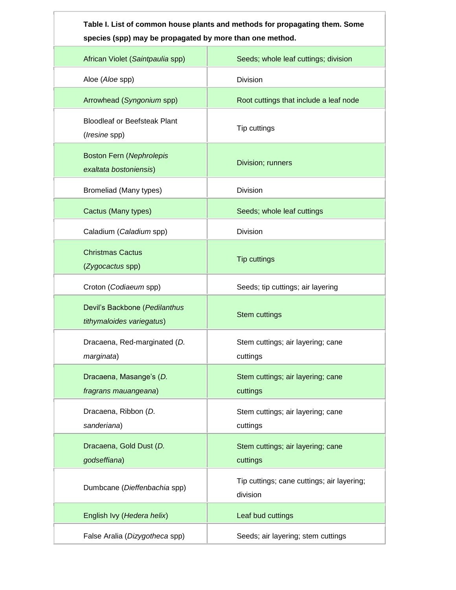| Table I. List of common house plants and methods for propagating them. Some |
|-----------------------------------------------------------------------------|
| species (spp) may be propagated by more than one method.                    |

| African Violet (Saintpaulia spp)                           | Seeds; whole leaf cuttings; division                   |
|------------------------------------------------------------|--------------------------------------------------------|
| Aloe (Aloe spp)                                            | Division                                               |
| Arrowhead (Syngonium spp)                                  | Root cuttings that include a leaf node                 |
| <b>Bloodleaf or Beefsteak Plant</b><br>(Iresine spp)       | Tip cuttings                                           |
| <b>Boston Fern (Nephrolepis</b><br>exaltata bostoniensis)  | Division; runners                                      |
| Bromeliad (Many types)                                     | Division                                               |
| Cactus (Many types)                                        | Seeds; whole leaf cuttings                             |
| Caladium (Caladium spp)                                    | Division                                               |
| <b>Christmas Cactus</b><br>(Zygocactus spp)                | <b>Tip cuttings</b>                                    |
| Croton (Codiaeum spp)                                      | Seeds; tip cuttings; air layering                      |
| Devil's Backbone (Pedilanthus<br>tithymaloides variegatus) | <b>Stem cuttings</b>                                   |
| Dracaena, Red-marginated (D.<br>marginata)                 | Stem cuttings; air layering; cane<br>cuttings          |
| Dracaena, Masange's (D.<br>fragrans mauangeana)            | Stem cuttings; air layering; cane<br>cuttings          |
| Dracaena, Ribbon (D.<br>sanderiana)                        | Stem cuttings; air layering; cane<br>cuttings          |
| Dracaena, Gold Dust (D.<br>godseffiana)                    | Stem cuttings; air layering; cane<br>cuttings          |
| Dumbcane (Dieffenbachia spp)                               | Tip cuttings; cane cuttings; air layering;<br>division |
| English Ivy (Hedera helix)                                 | Leaf bud cuttings                                      |
| False Aralia (Dizygotheca spp)                             | Seeds; air layering; stem cuttings                     |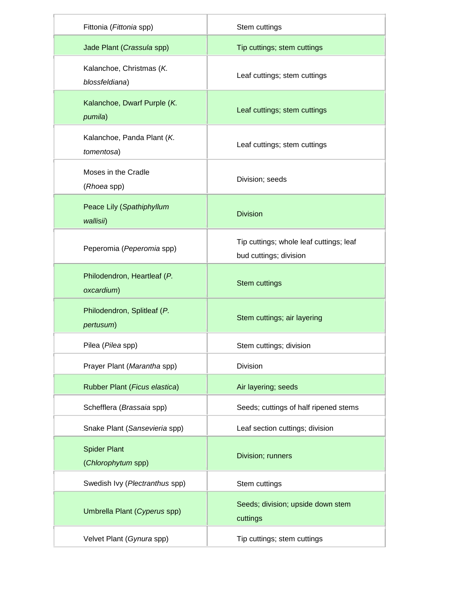| Fittonia (Fittonia spp)                    | Stem cuttings                                                     |
|--------------------------------------------|-------------------------------------------------------------------|
| Jade Plant (Crassula spp)                  | Tip cuttings; stem cuttings                                       |
| Kalanchoe, Christmas (K.<br>blossfeldiana) | Leaf cuttings; stem cuttings                                      |
| Kalanchoe, Dwarf Purple (K.<br>pumila)     | Leaf cuttings; stem cuttings                                      |
| Kalanchoe, Panda Plant (K.<br>tomentosa)   | Leaf cuttings; stem cuttings                                      |
| Moses in the Cradle<br>(Rhoea spp)         | Division; seeds                                                   |
| Peace Lily (Spathiphyllum<br>wallisii)     | <b>Division</b>                                                   |
| Peperomia (Peperomia spp)                  | Tip cuttings; whole leaf cuttings; leaf<br>bud cuttings; division |
| Philodendron, Heartleaf (P.<br>oxcardium)  | Stem cuttings                                                     |
| Philodendron, Splitleaf (P.<br>pertusum)   | Stem cuttings; air layering                                       |
| Pilea (Pilea spp)                          | Stem cuttings; division                                           |
| Prayer Plant (Marantha spp)                | Division                                                          |
| Rubber Plant (Ficus elastica)              | Air layering; seeds                                               |
| Schefflera (Brassaia spp)                  | Seeds; cuttings of half ripened stems                             |
| Snake Plant (Sansevieria spp)              | Leaf section cuttings; division                                   |
| <b>Spider Plant</b><br>(Chlorophytum spp)  | Division; runners                                                 |
| Swedish Ivy (Plectranthus spp)             | Stem cuttings                                                     |
| Umbrella Plant (Cyperus spp)               | Seeds; division; upside down stem<br>cuttings                     |
| Velvet Plant (Gynura spp)                  | Tip cuttings; stem cuttings                                       |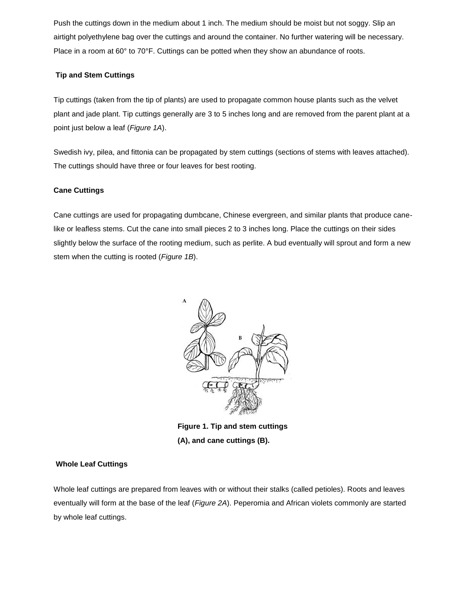Push the cuttings down in the medium about 1 inch. The medium should be moist but not soggy. Slip an airtight polyethylene bag over the cuttings and around the container. No further watering will be necessary. Place in a room at 60° to 70°F. Cuttings can be potted when they show an abundance of roots.

# **Tip and Stem Cuttings**

Tip cuttings (taken from the tip of plants) are used to propagate common house plants such as the velvet plant and jade plant. Tip cuttings generally are 3 to 5 inches long and are removed from the parent plant at a point just below a leaf (*Figure 1A*).

Swedish ivy, pilea, and fittonia can be propagated by stem cuttings (sections of stems with leaves attached). The cuttings should have three or four leaves for best rooting.

# **Cane Cuttings**

Cane cuttings are used for propagating dumbcane, Chinese evergreen, and similar plants that produce canelike or leafless stems. Cut the cane into small pieces 2 to 3 inches long. Place the cuttings on their sides slightly below the surface of the rooting medium, such as perlite. A bud eventually will sprout and form a new stem when the cutting is rooted (*Figure 1B*).



**Figure 1. Tip and stem cuttings (A), and cane cuttings (B).**

#### **Whole Leaf Cuttings**

Whole leaf cuttings are prepared from leaves with or without their stalks (called petioles). Roots and leaves eventually will form at the base of the leaf (*Figure 2A*). Peperomia and African violets commonly are started by whole leaf cuttings.